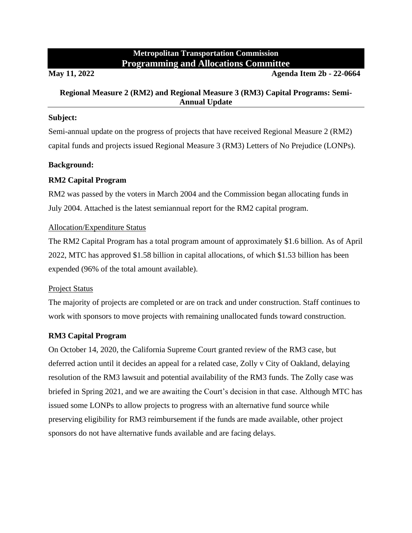# **Metropolitan Transportation Commission Programming and Allocations Committee**

#### **May 11, 2022 Agenda Item 2b - 22-0664**

## **Regional Measure 2 (RM2) and Regional Measure 3 (RM3) Capital Programs: Semi-Annual Update**

#### **Subject:**

Semi-annual update on the progress of projects that have received Regional Measure 2 (RM2) capital funds and projects issued Regional Measure 3 (RM3) Letters of No Prejudice (LONPs).

#### **Background:**

## **RM2 Capital Program**

RM2 was passed by the voters in March 2004 and the Commission began allocating funds in July 2004. Attached is the latest semiannual report for the RM2 capital program.

#### Allocation/Expenditure Status

The RM2 Capital Program has a total program amount of approximately \$1.6 billion. As of April 2022, MTC has approved \$1.58 billion in capital allocations, of which \$1.53 billion has been expended (96% of the total amount available).

#### Project Status

The majority of projects are completed or are on track and under construction. Staff continues to work with sponsors to move projects with remaining unallocated funds toward construction.

## **RM3 Capital Program**

On October 14, 2020, the California Supreme Court granted review of the RM3 case, but deferred action until it decides an appeal for a related case, Zolly v City of Oakland, delaying resolution of the RM3 lawsuit and potential availability of the RM3 funds. The Zolly case was briefed in Spring 2021, and we are awaiting the Court's decision in that case. Although MTC has issued some LONPs to allow projects to progress with an alternative fund source while preserving eligibility for RM3 reimbursement if the funds are made available, other project sponsors do not have alternative funds available and are facing delays.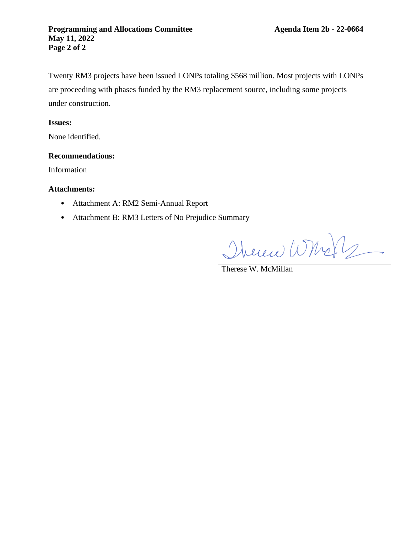Twenty RM3 projects have been issued LONPs totaling \$568 million. Most projects with LONPs are proceeding with phases funded by the RM3 replacement source, including some projects under construction.

### **Issues:**

None identified.

#### **Recommendations:**

Information

#### **Attachments:**

- Attachment A: RM2 Semi-Annual Report
- Attachment B: RM3 Letters of No Prejudice Summary

Therew Whole

Therese W. McMillan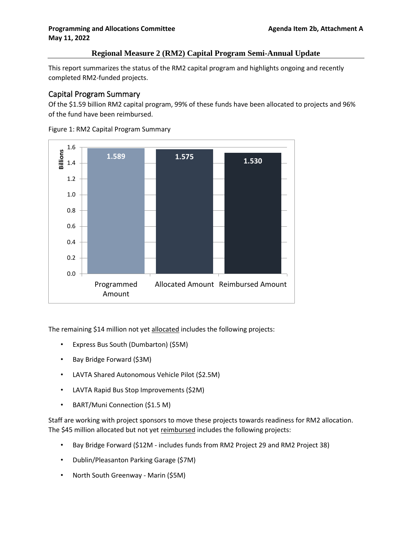### **Programming and Allocations Committee Agenda Item 2b, Attachment A May 11, 2022**

### **Regional Measure 2 (RM2) Capital Program Semi-Annual Update**

This report summarizes the status of the RM2 capital program and highlights ongoing and recently completed RM2-funded projects.

# Capital Program Summary

Of the \$1.59 billion RM2 capital program, 99% of these funds have been allocated to projects and 96% of the fund have been reimbursed.



Figure 1: RM2 Capital Program Summary

The remaining \$14 million not yet allocated includes the following projects:

- Express Bus South (Dumbarton) (\$5M)
- Bay Bridge Forward (\$3M)
- LAVTA Shared Autonomous Vehicle Pilot (\$2.5M)
- LAVTA Rapid Bus Stop Improvements (\$2M)
- BART/Muni Connection (\$1.5 M)

Staff are working with project sponsors to move these projects towards readiness for RM2 allocation. The \$45 million allocated but not yet reimbursed includes the following projects:

- Bay Bridge Forward (\$12M includes funds from RM2 Project 29 and RM2 Project 38)
- Dublin/Pleasanton Parking Garage (\$7M)
- North South Greenway Marin (\$5M)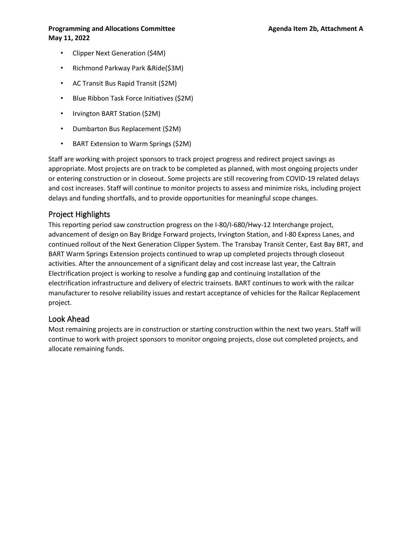#### **Programming and Allocations Committee Agenda Item 2b, Attachment A May 11, 2022**

- Clipper Next Generation (\$4M)
- Richmond Parkway Park &Ride(\$3M)
- AC Transit Bus Rapid Transit (\$2M)
- Blue Ribbon Task Force Initiatives (\$2M)
- Irvington BART Station (\$2M)
- Dumbarton Bus Replacement (\$2M)
- BART Extension to Warm Springs (\$2M)

Staff are working with project sponsors to track project progress and redirect project savings as appropriate. Most projects are on track to be completed as planned, with most ongoing projects under or entering construction or in closeout. Some projects are still recovering from COVID-19 related delays and cost increases. Staff will continue to monitor projects to assess and minimize risks, including project delays and funding shortfalls, and to provide opportunities for meaningful scope changes.

# Project Highlights

This reporting period saw construction progress on the I-80/I-680/Hwy-12 Interchange project, advancement of design on Bay Bridge Forward projects, Irvington Station, and I-80 Express Lanes, and continued rollout of the Next Generation Clipper System. The Transbay Transit Center, East Bay BRT, and BART Warm Springs Extension projects continued to wrap up completed projects through closeout activities. After the announcement of a significant delay and cost increase last year, the Caltrain Electrification project is working to resolve a funding gap and continuing installation of the electrification infrastructure and delivery of electric trainsets. BART continues to work with the railcar manufacturer to resolve reliability issues and restart acceptance of vehicles for the Railcar Replacement project.

# Look Ahead

Most remaining projects are in construction or starting construction within the next two years. Staff will continue to work with project sponsors to monitor ongoing projects, close out completed projects, and allocate remaining funds.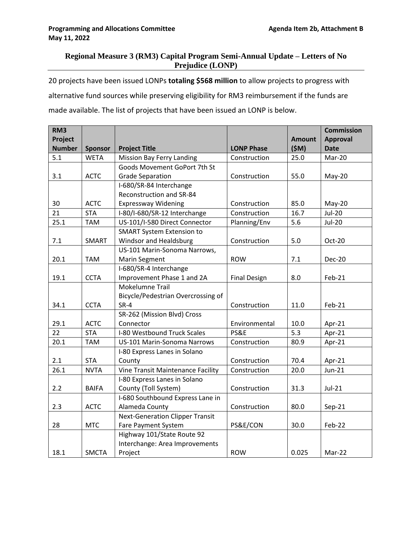# **Regional Measure 3 (RM3) Capital Program Semi-Annual Update – Letters of No Prejudice (LONP)**

20 projects have been issued LONPs **totaling \$568 million** to allow projects to progress with alternative fund sources while preserving eligibility for RM3 reimbursement if the funds are made available. The list of projects that have been issued an LONP is below.

| RM <sub>3</sub><br>Project<br><b>Number</b> |                               |                                                               | <b>LONP Phase</b>   | <b>Amount</b><br>(SM) | <b>Commission</b><br><b>Approval</b><br><b>Date</b> |
|---------------------------------------------|-------------------------------|---------------------------------------------------------------|---------------------|-----------------------|-----------------------------------------------------|
| 5.1                                         | <b>Sponsor</b><br><b>WETA</b> | <b>Project Title</b><br><b>Mission Bay Ferry Landing</b>      | Construction        | 25.0                  | Mar-20                                              |
|                                             |                               | Goods Movement GoPort 7th St                                  |                     |                       |                                                     |
| 3.1                                         | <b>ACTC</b>                   |                                                               |                     | 55.0                  |                                                     |
|                                             |                               | <b>Grade Separation</b>                                       | Construction        |                       | May-20                                              |
|                                             |                               | I-680/SR-84 Interchange<br><b>Reconstruction and SR-84</b>    |                     |                       |                                                     |
| 30                                          | <b>ACTC</b>                   | <b>Expressway Widening</b>                                    | Construction        | 85.0                  | May-20                                              |
| 21                                          | <b>STA</b>                    |                                                               | Construction        | 16.7                  | <b>Jul-20</b>                                       |
| 25.1                                        | <b>TAM</b>                    | I-80/I-680/SR-12 Interchange<br>US-101/I-580 Direct Connector |                     | 5.6                   | <b>Jul-20</b>                                       |
|                                             |                               |                                                               | Planning/Env        |                       |                                                     |
| 7.1                                         | <b>SMART</b>                  | <b>SMART System Extension to</b><br>Windsor and Healdsburg    | Construction        | 5.0                   | Oct-20                                              |
|                                             |                               | US-101 Marin-Sonoma Narrows,                                  |                     |                       |                                                     |
| 20.1                                        | <b>TAM</b>                    | <b>Marin Segment</b>                                          | <b>ROW</b>          | 7.1                   | <b>Dec-20</b>                                       |
|                                             |                               | I-680/SR-4 Interchange                                        |                     |                       |                                                     |
| 19.1                                        | <b>CCTA</b>                   | Improvement Phase 1 and 2A                                    | <b>Final Design</b> | 8.0                   | Feb-21                                              |
|                                             |                               | Mokelumne Trail                                               |                     |                       |                                                     |
|                                             |                               | Bicycle/Pedestrian Overcrossing of                            |                     |                       |                                                     |
| 34.1                                        | <b>CCTA</b>                   | $SR-4$                                                        | Construction        | 11.0                  | Feb-21                                              |
|                                             |                               | SR-262 (Mission Blvd) Cross                                   |                     |                       |                                                     |
| 29.1                                        | <b>ACTC</b>                   | Connector                                                     | Environmental       | 10.0                  | Apr-21                                              |
| 22                                          | <b>STA</b>                    | I-80 Westbound Truck Scales                                   | <b>PS&amp;E</b>     | 5.3                   | Apr-21                                              |
| 20.1                                        | <b>TAM</b>                    | US-101 Marin-Sonoma Narrows                                   | Construction        | 80.9                  | Apr-21                                              |
|                                             |                               | I-80 Express Lanes in Solano                                  |                     |                       |                                                     |
| 2.1                                         | <b>STA</b>                    | County                                                        | Construction        | 70.4                  | Apr-21                                              |
| 26.1                                        | <b>NVTA</b>                   | Vine Transit Maintenance Facility                             | Construction        | 20.0                  | $Jun-21$                                            |
|                                             |                               | I-80 Express Lanes in Solano                                  |                     |                       |                                                     |
| 2.2                                         | <b>BAIFA</b>                  | County (Toll System)                                          | Construction        | 31.3                  | $Jul-21$                                            |
|                                             |                               | I-680 Southbound Express Lane in                              |                     |                       |                                                     |
| 2.3                                         | <b>ACTC</b>                   | Alameda County                                                | Construction        | 80.0                  | Sep-21                                              |
|                                             |                               | <b>Next-Generation Clipper Transit</b>                        |                     |                       |                                                     |
| 28                                          | <b>MTC</b>                    | Fare Payment System                                           | PS&E/CON            | 30.0                  | Feb-22                                              |
|                                             |                               | Highway 101/State Route 92                                    |                     |                       |                                                     |
|                                             |                               | Interchange: Area Improvements                                |                     |                       |                                                     |
| 18.1                                        | <b>SMCTA</b>                  | Project                                                       | <b>ROW</b>          | 0.025                 | Mar-22                                              |